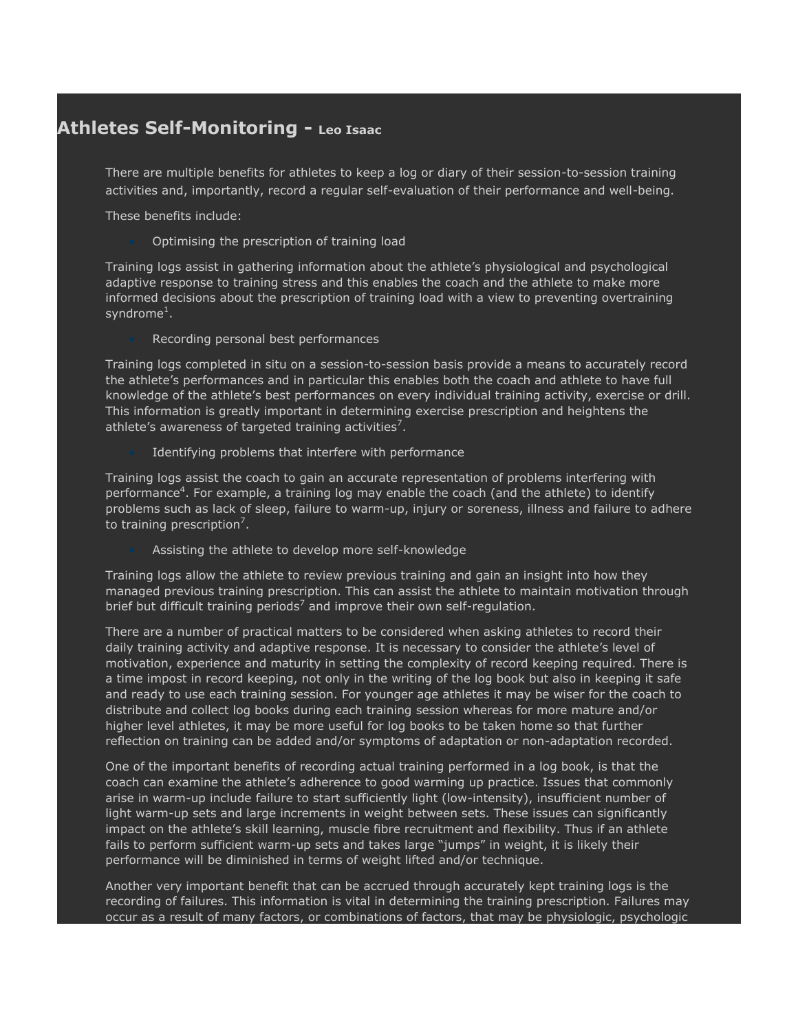## **Athletes Self-Monitoring - Leo Isaac**

There are multiple benefits for athletes to keep a log or diary of their session-to-session training activities and, importantly, record a regular self-evaluation of their performance and well-being.

These benefits include:

Optimising the prescription of training load

Training logs assist in gathering information about the athlete's physiological and psychological adaptive response to training stress and this enables the coach and the athlete to make more informed decisions about the prescription of training load with a view to preventing overtraining syndrome $^1\!.$ 

Recording personal best performances

Training logs completed in situ on a session-to-session basis provide a means to accurately record the athlete's performances and in particular this enables both the coach and athlete to have full knowledge of the athlete's best performances on every individual training activity, exercise or drill. This information is greatly important in determining exercise prescription and heightens the athlete's awareness of targeted training activities<sup>7</sup>.

Identifying problems that interfere with performance

Training logs assist the coach to gain an accurate representation of problems interfering with performance<sup>4</sup>. For example, a training log may enable the coach (and the athlete) to identify problems such as lack of sleep, failure to warm-up, injury or soreness, illness and failure to adhere to training prescription<sup>7</sup>.

Assisting the athlete to develop more self-knowledge

Training logs allow the athlete to review previous training and gain an insight into how they managed previous training prescription. This can assist the athlete to maintain motivation through brief but difficult training periods<sup>7</sup> and improve their own self-regulation.

There are a number of practical matters to be considered when asking athletes to record their daily training activity and adaptive response. It is necessary to consider the athlete's level of motivation, experience and maturity in setting the complexity of record keeping required. There is a time impost in record keeping, not only in the writing of the log book but also in keeping it safe and ready to use each training session. For younger age athletes it may be wiser for the coach to distribute and collect log books during each training session whereas for more mature and/or higher level athletes, it may be more useful for log books to be taken home so that further reflection on training can be added and/or symptoms of adaptation or non-adaptation recorded.

One of the important benefits of recording actual training performed in a log book, is that the coach can examine the athlete's adherence to good warming up practice. Issues that commonly arise in warm-up include failure to start sufficiently light (low-intensity), insufficient number of light warm-up sets and large increments in weight between sets. These issues can significantly impact on the athlete's skill learning, muscle fibre recruitment and flexibility. Thus if an athlete fails to perform sufficient warm-up sets and takes large "jumps" in weight, it is likely their performance will be diminished in terms of weight lifted and/or technique.

Another very important benefit that can be accrued through accurately kept training logs is the recording of failures. This information is vital in determining the training prescription. Failures may occur as a result of many factors, or combinations of factors, that may be physiologic, psychologic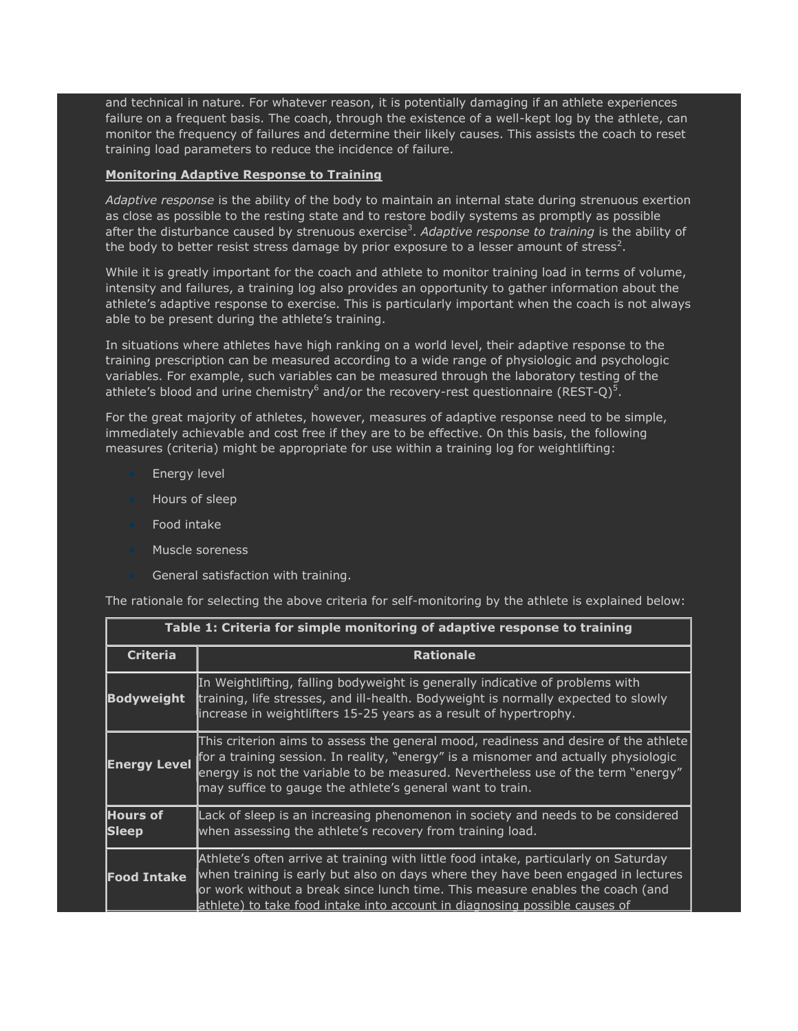and technical in nature. For whatever reason, it is potentially damaging if an athlete experiences failure on a frequent basis. The coach, through the existence of a well-kept log by the athlete, can monitor the frequency of failures and determine their likely causes. This assists the coach to reset training load parameters to reduce the incidence of failure.

## **Monitoring Adaptive Response to Training**

*Adaptive response* is the ability of the body to maintain an internal state during strenuous exertion as close as possible to the resting state and to restore bodily systems as promptly as possible after the disturbance caused by strenuous exercise<sup>3</sup>. Adaptive response to training is the ability of the body to better resist stress damage by prior exposure to a lesser amount of stress<sup>2</sup>.

While it is greatly important for the coach and athlete to monitor training load in terms of volume, intensity and failures, a training log also provides an opportunity to gather information about the athlete's adaptive response to exercise. This is particularly important when the coach is not always able to be present during the athlete's training.

In situations where athletes have high ranking on a world level, their adaptive response to the training prescription can be measured according to a wide range of physiologic and psychologic variables. For example, such variables can be measured through the laboratory testing of the athlete's blood and urine chemistry<sup>6</sup> and/or the recovery-rest questionnaire (REST-Q)<sup>5</sup>.

For the great majority of athletes, however, measures of adaptive response need to be simple, immediately achievable and cost free if they are to be effective. On this basis, the following measures (criteria) might be appropriate for use within a training log for weightlifting:

- **Energy level**
- Hours of sleep
- Food intake
- Muscle soreness
- General satisfaction with training.

The rationale for selecting the above criteria for self-monitoring by the athlete is explained below:

| Table 1: Criteria for simple monitoring of adaptive response to training |                                                                                                                                                                                                                                                                                                                                          |  |
|--------------------------------------------------------------------------|------------------------------------------------------------------------------------------------------------------------------------------------------------------------------------------------------------------------------------------------------------------------------------------------------------------------------------------|--|
| <b>Criteria</b>                                                          | <b>Rationale</b>                                                                                                                                                                                                                                                                                                                         |  |
| <b>Bodyweight</b>                                                        | In Weightlifting, falling bodyweight is generally indicative of problems with<br>training, life stresses, and ill-health. Bodyweight is normally expected to slowly<br>increase in weightlifters 15-25 years as a result of hypertrophy.                                                                                                 |  |
| <b>Energy Level</b>                                                      | This criterion aims to assess the general mood, readiness and desire of the athlete<br>for a training session. In reality, "energy" is a misnomer and actually physiologic<br>energy is not the variable to be measured. Nevertheless use of the term "energy"<br>may suffice to gauge the athlete's general want to train.              |  |
| <b>Hours of</b><br><b>Sleep</b>                                          | Lack of sleep is an increasing phenomenon in society and needs to be considered<br>when assessing the athlete's recovery from training load.                                                                                                                                                                                             |  |
| <b>Food Intake</b>                                                       | Athlete's often arrive at training with little food intake, particularly on Saturday<br>when training is early but also on days where they have been engaged in lectures<br>or work without a break since lunch time. This measure enables the coach (and<br>lathlete) to take food intake into account in diagnosing possible causes of |  |